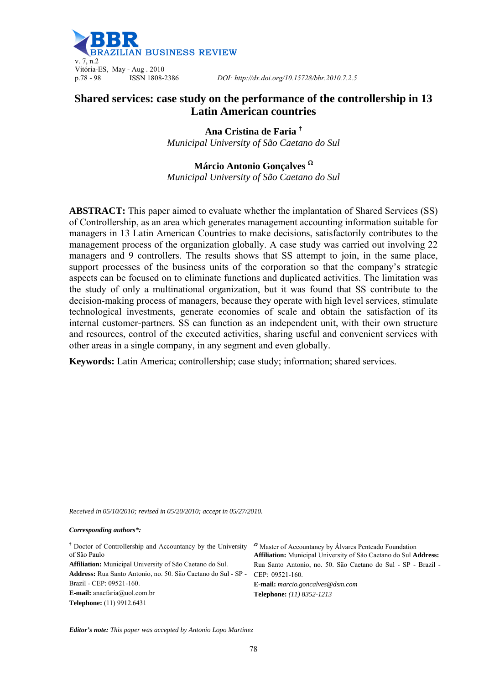

# **Shared services: case study on the performance of the controllership in 13 Latin American countries**

**Ana Cristina de Faria †** *Municipal University of São Caetano do Sul* 

**Márcio Antonio Gonçalves** *Municipal University of São Caetano do Sul* 

**ABSTRACT:** This paper aimed to evaluate whether the implantation of Shared Services (SS) of Controllership, as an area which generates management accounting information suitable for managers in 13 Latin American Countries to make decisions, satisfactorily contributes to the management process of the organization globally. A case study was carried out involving 22 managers and 9 controllers. The results shows that SS attempt to join, in the same place, support processes of the business units of the corporation so that the company's strategic aspects can be focused on to eliminate functions and duplicated activities. The limitation was the study of only a multinational organization, but it was found that SS contribute to the decision-making process of managers, because they operate with high level services, stimulate technological investments, generate economies of scale and obtain the satisfaction of its internal customer-partners. SS can function as an independent unit, with their own structure and resources, control of the executed activities, sharing useful and convenient services with other areas in a single company, in any segment and even globally.

**Keywords:** Latin America; controllership; case study; information; shared services.

*Received in 05/10/2010; revised in 05/20/2010; accept in 05/27/2010.*

*Corresponding authors\*:* 

| <sup>†</sup> Doctor of Controllership and Accountancy by the University<br>of São Paulo | <sup>2</sup> Master of Accountancy by Álvares Penteado Foundation<br>Affiliation: Municipal University of São Caetano do Sul Address: |
|-----------------------------------------------------------------------------------------|---------------------------------------------------------------------------------------------------------------------------------------|
| Affiliation: Municipal University of São Caetano do Sul.                                | Rua Santo Antonio, no. 50. São Caetano do Sul - SP - Brazil -                                                                         |
| Address: Rua Santo Antonio, no. 50. São Caetano do Sul - SP -                           | CEP: 09521-160.                                                                                                                       |
| Brazil - CEP: 09521-160.                                                                | <b>E-mail:</b> marcio.goncalves@dsm.com                                                                                               |
| <b>E-mail:</b> anacfaria@uol.com.br                                                     | <b>Telephone:</b> (11) 8352-1213                                                                                                      |
| <b>Telephone:</b> (11) 9912.6431                                                        |                                                                                                                                       |

*Editor's note: This paper was accepted by Antonio Lopo Martinez*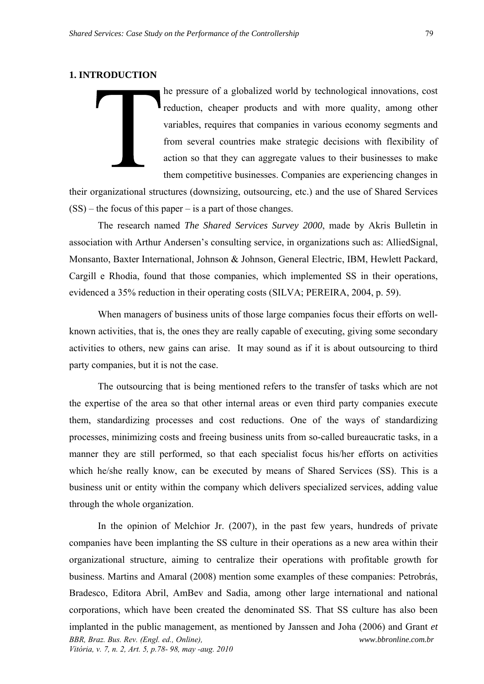## **1. INTRODUCTION**

he pressure of a globalized world by technological innovations, cost reduction, cheaper products and with more quality, among other variables, requires that companies in various economy segments and from several countries make strategic decisions with flexibility of action so that they can aggregate values to their businesses to make them competitive businesses. Companies are experiencing changes in

their organizational structures (downsizing, outsourcing, etc.) and the use of Shared Services  $(SS)$  – the focus of this paper – is a part of those changes.

The research named *The Shared Services Survey 2000*, made by Akris Bulletin in association with Arthur Andersen's consulting service, in organizations such as: AlliedSignal, Monsanto, Baxter International, Johnson & Johnson, General Electric, IBM, Hewlett Packard, Cargill e Rhodia, found that those companies, which implemented SS in their operations, evidenced a 35% reduction in their operating costs (SILVA; PEREIRA, 2004, p. 59).

When managers of business units of those large companies focus their efforts on wellknown activities, that is, the ones they are really capable of executing, giving some secondary activities to others, new gains can arise. It may sound as if it is about outsourcing to third party companies, but it is not the case.

The outsourcing that is being mentioned refers to the transfer of tasks which are not the expertise of the area so that other internal areas or even third party companies execute them, standardizing processes and cost reductions. One of the ways of standardizing processes, minimizing costs and freeing business units from so-called bureaucratic tasks, in a manner they are still performed, so that each specialist focus his/her efforts on activities which he/she really know, can be executed by means of Shared Services (SS). This is a business unit or entity within the company which delivers specialized services, adding value through the whole organization.

*BBR, Braz. Bus. Rev. (Engl. ed., Online), Vitória, v. 7, n. 2, Art. 5, p.78- 98, may -aug. 2010 www.bbronline.com.br*  In the opinion of Melchior Jr. (2007), in the past few years, hundreds of private companies have been implanting the SS culture in their operations as a new area within their organizational structure, aiming to centralize their operations with profitable growth for business. Martins and Amaral (2008) mention some examples of these companies: Petrobrás, Bradesco, Editora Abril, AmBev and Sadia, among other large international and national corporations, which have been created the denominated SS. That SS culture has also been implanted in the public management, as mentioned by Janssen and Joha (2006) and Grant *et*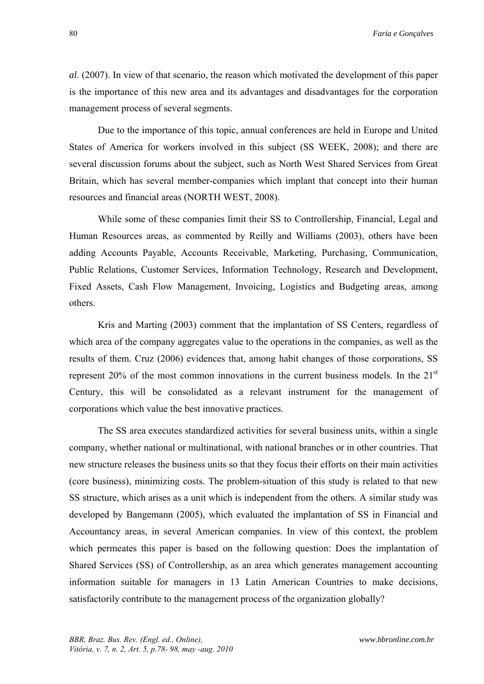*al*. (2007). In view of that scenario, the reason which motivated the development of this paper is the importance of this new area and its advantages and disadvantages for the corporation management process of several segments.

Due to the importance of this topic, annual conferences are held in Europe and United States of America for workers involved in this subject (SS WEEK, 2008); and there are several discussion forums about the subject, such as North West Shared Services from Great Britain, which has several member-companies which implant that concept into their human resources and financial areas (NORTH WEST, 2008).

While some of these companies limit their SS to Controllership, Financial, Legal and Human Resources areas, as commented by Reilly and Williams (2003), others have been adding Accounts Payable, Accounts Receivable, Marketing, Purchasing, Communication, Public Relations, Customer Services, Information Technology, Research and Development, Fixed Assets, Cash Flow Management, Invoicing, Logistics and Budgeting areas, among others.

Kris and Marting (2003) comment that the implantation of SS Centers, regardless of which area of the company aggregates value to the operations in the companies, as well as the results of them. Cruz (2006) evidences that, among habit changes of those corporations, SS represent  $20\%$  of the most common innovations in the current business models. In the  $21<sup>st</sup>$ Century, this will be consolidated as a relevant instrument for the management of corporations which value the best innovative practices.

The SS area executes standardized activities for several business units, within a single company, whether national or multinational, with national branches or in other countries. That new structure releases the business units so that they focus their efforts on their main activities (core business), minimizing costs. The problem-situation of this study is related to that new SS structure, which arises as a unit which is independent from the others. A similar study was developed by Bangemann (2005), which evaluated the implantation of SS in Financial and Accountancy areas, in several American companies. In view of this context, the problem which permeates this paper is based on the following question: Does the implantation of Shared Services (SS) of Controllership, as an area which generates management accounting information suitable for managers in 13 Latin American Countries to make decisions, satisfactorily contribute to the management process of the organization globally?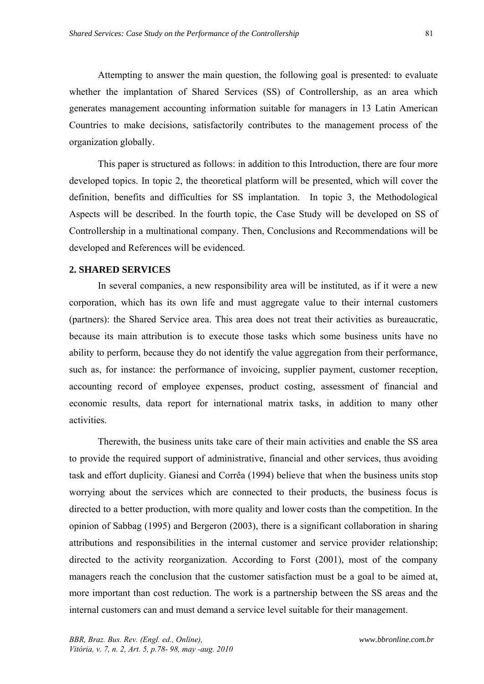Attempting to answer the main question, the following goal is presented: to evaluate whether the implantation of Shared Services (SS) of Controllership, as an area which generates management accounting information suitable for managers in 13 Latin American Countries to make decisions, satisfactorily contributes to the management process of the organization globally.

This paper is structured as follows: in addition to this Introduction, there are four more developed topics. In topic 2, the theoretical platform will be presented, which will cover the definition, benefits and difficulties for SS implantation. In topic 3, the Methodological Aspects will be described. In the fourth topic, the Case Study will be developed on SS of Controllership in a multinational company. Then, Conclusions and Recommendations will be developed and References will be evidenced.

### **2. SHARED SERVICES**

In several companies, a new responsibility area will be instituted, as if it were a new corporation, which has its own life and must aggregate value to their internal customers (partners): the Shared Service area. This area does not treat their activities as bureaucratic, because its main attribution is to execute those tasks which some business units have no ability to perform, because they do not identify the value aggregation from their performance, such as, for instance: the performance of invoicing, supplier payment, customer reception, accounting record of employee expenses, product costing, assessment of financial and economic results, data report for international matrix tasks, in addition to many other activities.

Therewith, the business units take care of their main activities and enable the SS area to provide the required support of administrative, financial and other services, thus avoiding task and effort duplicity. Gianesi and Corrêa (1994) believe that when the business units stop worrying about the services which are connected to their products, the business focus is directed to a better production, with more quality and lower costs than the competition. In the opinion of Sabbag (1995) and Bergeron (2003), there is a significant collaboration in sharing attributions and responsibilities in the internal customer and service provider relationship; directed to the activity reorganization. According to Forst (2001), most of the company managers reach the conclusion that the customer satisfaction must be a goal to be aimed at, more important than cost reduction. The work is a partnership between the SS areas and the internal customers can and must demand a service level suitable for their management.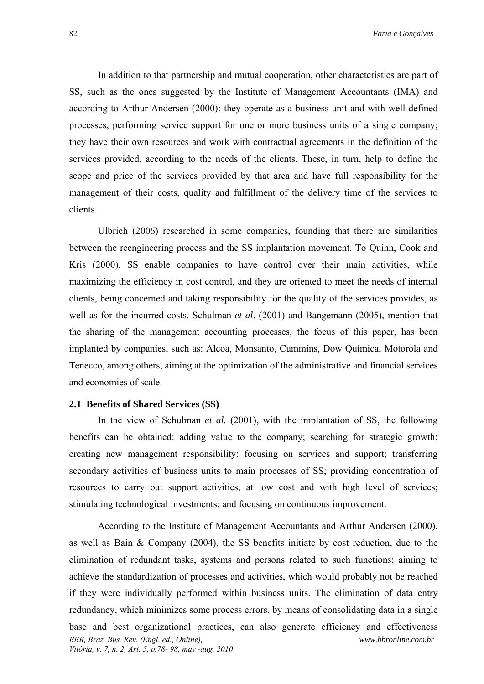In addition to that partnership and mutual cooperation, other characteristics are part of SS, such as the ones suggested by the Institute of Management Accountants (IMA) and according to Arthur Andersen (2000): they operate as a business unit and with well-defined processes, performing service support for one or more business units of a single company; they have their own resources and work with contractual agreements in the definition of the services provided, according to the needs of the clients. These, in turn, help to define the scope and price of the services provided by that area and have full responsibility for the management of their costs, quality and fulfillment of the delivery time of the services to clients.

Ulbrich (2006) researched in some companies, founding that there are similarities between the reengineering process and the SS implantation movement. To Quinn, Cook and Kris (2000), SS enable companies to have control over their main activities, while maximizing the efficiency in cost control, and they are oriented to meet the needs of internal clients, being concerned and taking responsibility for the quality of the services provides, as well as for the incurred costs. Schulman *et al*. (2001) and Bangemann (2005), mention that the sharing of the management accounting processes, the focus of this paper, has been implanted by companies, such as: Alcoa, Monsanto, Cummins, Dow Química, Motorola and Tenecco, among others, aiming at the optimization of the administrative and financial services and economies of scale.

### **2.1 Benefits of Shared Services (SS)**

In the view of Schulman *et al.* (2001), with the implantation of SS, the following benefits can be obtained: adding value to the company; searching for strategic growth; creating new management responsibility; focusing on services and support; transferring secondary activities of business units to main processes of SS; providing concentration of resources to carry out support activities, at low cost and with high level of services; stimulating technological investments; and focusing on continuous improvement.

*BBR, Braz. Bus. Rev. (Engl. ed., Online), Vitória, v. 7, n. 2, Art. 5, p.78- 98, may -aug. 2010 www.bbronline.com.br*  According to the Institute of Management Accountants and Arthur Andersen (2000), as well as Bain & Company (2004), the SS benefits initiate by cost reduction, due to the elimination of redundant tasks, systems and persons related to such functions; aiming to achieve the standardization of processes and activities, which would probably not be reached if they were individually performed within business units. The elimination of data entry redundancy, which minimizes some process errors, by means of consolidating data in a single base and best organizational practices, can also generate efficiency and effectiveness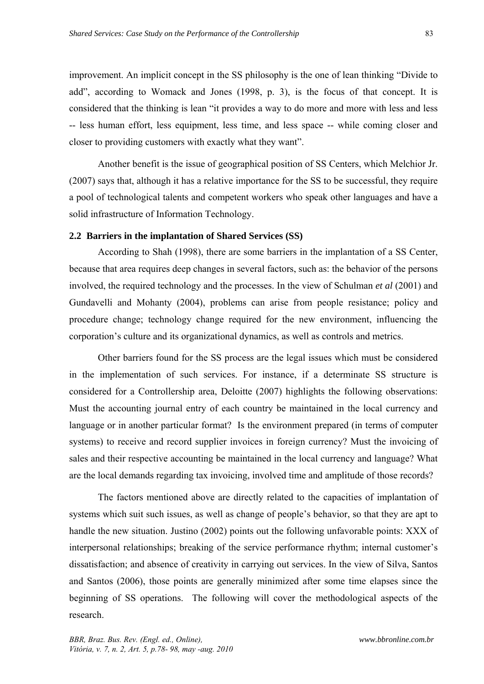improvement. An implicit concept in the SS philosophy is the one of lean thinking "Divide to add", according to Womack and Jones (1998, p. 3), is the focus of that concept. It is considered that the thinking is lean "it provides a way to do more and more with less and less -- less human effort, less equipment, less time, and less space -- while coming closer and closer to providing customers with exactly what they want".

Another benefit is the issue of geographical position of SS Centers, which Melchior Jr. (2007) says that, although it has a relative importance for the SS to be successful, they require a pool of technological talents and competent workers who speak other languages and have a solid infrastructure of Information Technology.

## **2.2 Barriers in the implantation of Shared Services (SS)**

According to Shah (1998), there are some barriers in the implantation of a SS Center, because that area requires deep changes in several factors, such as: the behavior of the persons involved, the required technology and the processes. In the view of Schulman *et al* (2001) and Gundavelli and Mohanty (2004), problems can arise from people resistance; policy and procedure change; technology change required for the new environment, influencing the corporation's culture and its organizational dynamics, as well as controls and metrics.

Other barriers found for the SS process are the legal issues which must be considered in the implementation of such services. For instance, if a determinate SS structure is considered for a Controllership area, Deloitte (2007) highlights the following observations: Must the accounting journal entry of each country be maintained in the local currency and language or in another particular format? Is the environment prepared (in terms of computer systems) to receive and record supplier invoices in foreign currency? Must the invoicing of sales and their respective accounting be maintained in the local currency and language? What are the local demands regarding tax invoicing, involved time and amplitude of those records?

The factors mentioned above are directly related to the capacities of implantation of systems which suit such issues, as well as change of people's behavior, so that they are apt to handle the new situation. Justino (2002) points out the following unfavorable points: XXX of interpersonal relationships; breaking of the service performance rhythm; internal customer's dissatisfaction; and absence of creativity in carrying out services. In the view of Silva, Santos and Santos (2006), those points are generally minimized after some time elapses since the beginning of SS operations. The following will cover the methodological aspects of the research.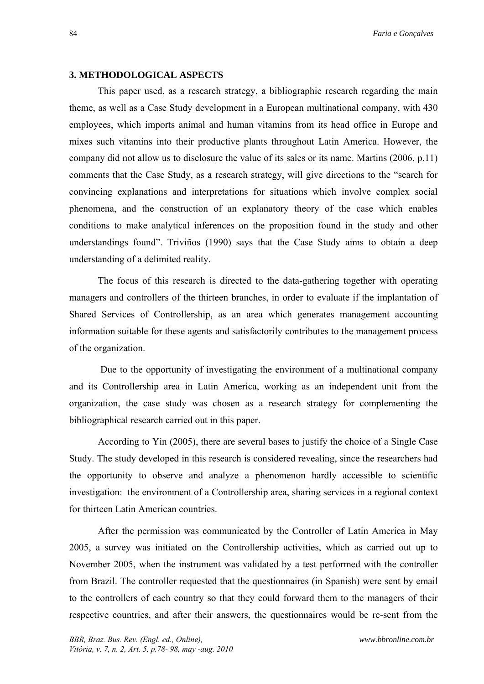#### **3. METHODOLOGICAL ASPECTS**

This paper used, as a research strategy, a bibliographic research regarding the main theme, as well as a Case Study development in a European multinational company, with 430 employees, which imports animal and human vitamins from its head office in Europe and mixes such vitamins into their productive plants throughout Latin America. However, the company did not allow us to disclosure the value of its sales or its name. Martins (2006, p.11) comments that the Case Study, as a research strategy, will give directions to the "search for convincing explanations and interpretations for situations which involve complex social phenomena, and the construction of an explanatory theory of the case which enables conditions to make analytical inferences on the proposition found in the study and other understandings found". Triviños (1990) says that the Case Study aims to obtain a deep understanding of a delimited reality.

The focus of this research is directed to the data-gathering together with operating managers and controllers of the thirteen branches, in order to evaluate if the implantation of Shared Services of Controllership, as an area which generates management accounting information suitable for these agents and satisfactorily contributes to the management process of the organization.

 Due to the opportunity of investigating the environment of a multinational company and its Controllership area in Latin America, working as an independent unit from the organization, the case study was chosen as a research strategy for complementing the bibliographical research carried out in this paper.

According to Yin (2005), there are several bases to justify the choice of a Single Case Study. The study developed in this research is considered revealing, since the researchers had the opportunity to observe and analyze a phenomenon hardly accessible to scientific investigation: the environment of a Controllership area, sharing services in a regional context for thirteen Latin American countries.

After the permission was communicated by the Controller of Latin America in May 2005, a survey was initiated on the Controllership activities, which as carried out up to November 2005, when the instrument was validated by a test performed with the controller from Brazil. The controller requested that the questionnaires (in Spanish) were sent by email to the controllers of each country so that they could forward them to the managers of their respective countries, and after their answers, the questionnaires would be re-sent from the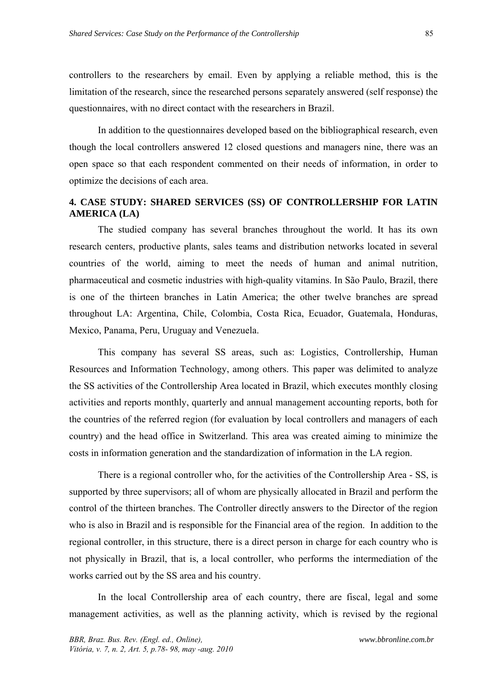controllers to the researchers by email. Even by applying a reliable method, this is the limitation of the research, since the researched persons separately answered (self response) the questionnaires, with no direct contact with the researchers in Brazil.

In addition to the questionnaires developed based on the bibliographical research, even though the local controllers answered 12 closed questions and managers nine, there was an open space so that each respondent commented on their needs of information, in order to optimize the decisions of each area.

## **4. CASE STUDY: SHARED SERVICES (SS) OF CONTROLLERSHIP FOR LATIN AMERICA (LA)**

The studied company has several branches throughout the world. It has its own research centers, productive plants, sales teams and distribution networks located in several countries of the world, aiming to meet the needs of human and animal nutrition, pharmaceutical and cosmetic industries with high-quality vitamins. In São Paulo, Brazil, there is one of the thirteen branches in Latin America; the other twelve branches are spread throughout LA: Argentina, Chile, Colombia, Costa Rica, Ecuador, Guatemala, Honduras, Mexico, Panama, Peru, Uruguay and Venezuela.

This company has several SS areas, such as: Logistics, Controllership, Human Resources and Information Technology, among others. This paper was delimited to analyze the SS activities of the Controllership Area located in Brazil, which executes monthly closing activities and reports monthly, quarterly and annual management accounting reports, both for the countries of the referred region (for evaluation by local controllers and managers of each country) and the head office in Switzerland. This area was created aiming to minimize the costs in information generation and the standardization of information in the LA region.

There is a regional controller who, for the activities of the Controllership Area - SS, is supported by three supervisors; all of whom are physically allocated in Brazil and perform the control of the thirteen branches. The Controller directly answers to the Director of the region who is also in Brazil and is responsible for the Financial area of the region. In addition to the regional controller, in this structure, there is a direct person in charge for each country who is not physically in Brazil, that is, a local controller, who performs the intermediation of the works carried out by the SS area and his country.

In the local Controllership area of each country, there are fiscal, legal and some management activities, as well as the planning activity, which is revised by the regional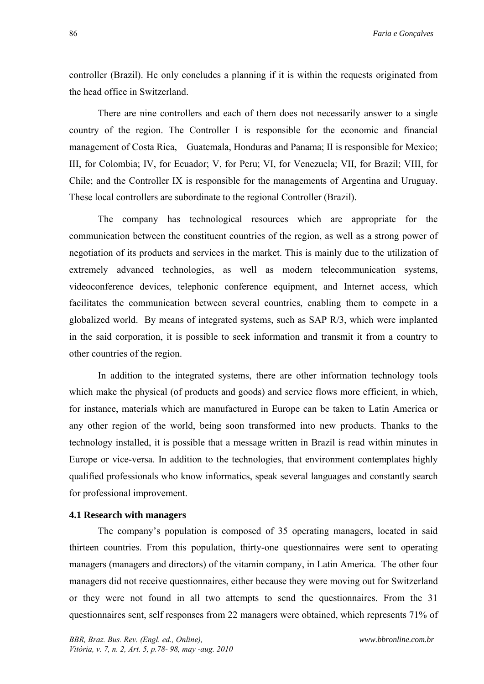controller (Brazil). He only concludes a planning if it is within the requests originated from the head office in Switzerland.

There are nine controllers and each of them does not necessarily answer to a single country of the region. The Controller I is responsible for the economic and financial management of Costa Rica, Guatemala, Honduras and Panama; II is responsible for Mexico; III, for Colombia; IV, for Ecuador; V, for Peru; VI, for Venezuela; VII, for Brazil; VIII, for Chile; and the Controller IX is responsible for the managements of Argentina and Uruguay. These local controllers are subordinate to the regional Controller (Brazil).

The company has technological resources which are appropriate for the communication between the constituent countries of the region, as well as a strong power of negotiation of its products and services in the market. This is mainly due to the utilization of extremely advanced technologies, as well as modern telecommunication systems, videoconference devices, telephonic conference equipment, and Internet access, which facilitates the communication between several countries, enabling them to compete in a globalized world. By means of integrated systems, such as SAP R/3, which were implanted in the said corporation, it is possible to seek information and transmit it from a country to other countries of the region.

In addition to the integrated systems, there are other information technology tools which make the physical (of products and goods) and service flows more efficient, in which, for instance, materials which are manufactured in Europe can be taken to Latin America or any other region of the world, being soon transformed into new products. Thanks to the technology installed, it is possible that a message written in Brazil is read within minutes in Europe or vice-versa. In addition to the technologies, that environment contemplates highly qualified professionals who know informatics, speak several languages and constantly search for professional improvement.

### **4.1 Research with managers**

The company's population is composed of 35 operating managers, located in said thirteen countries. From this population, thirty-one questionnaires were sent to operating managers (managers and directors) of the vitamin company, in Latin America. The other four managers did not receive questionnaires, either because they were moving out for Switzerland or they were not found in all two attempts to send the questionnaires. From the 31 questionnaires sent, self responses from 22 managers were obtained, which represents 71% of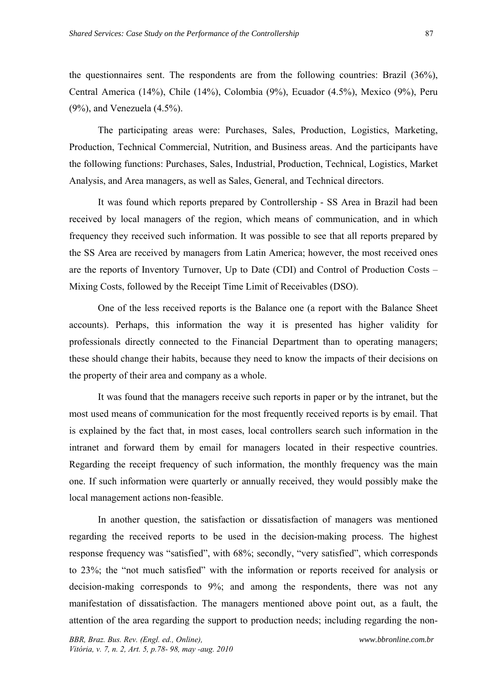the questionnaires sent. The respondents are from the following countries: Brazil (36%), Central America (14%), Chile (14%), Colombia (9%), Ecuador (4.5%), Mexico (9%), Peru (9%), and Venezuela (4.5%).

The participating areas were: Purchases, Sales, Production, Logistics, Marketing, Production, Technical Commercial, Nutrition, and Business areas. And the participants have the following functions: Purchases, Sales, Industrial, Production, Technical, Logistics, Market Analysis, and Area managers, as well as Sales, General, and Technical directors.

It was found which reports prepared by Controllership - SS Area in Brazil had been received by local managers of the region, which means of communication, and in which frequency they received such information. It was possible to see that all reports prepared by the SS Area are received by managers from Latin America; however, the most received ones are the reports of Inventory Turnover, Up to Date (CDI) and Control of Production Costs – Mixing Costs, followed by the Receipt Time Limit of Receivables (DSO).

One of the less received reports is the Balance one (a report with the Balance Sheet accounts). Perhaps, this information the way it is presented has higher validity for professionals directly connected to the Financial Department than to operating managers; these should change their habits, because they need to know the impacts of their decisions on the property of their area and company as a whole.

It was found that the managers receive such reports in paper or by the intranet, but the most used means of communication for the most frequently received reports is by email. That is explained by the fact that, in most cases, local controllers search such information in the intranet and forward them by email for managers located in their respective countries. Regarding the receipt frequency of such information, the monthly frequency was the main one. If such information were quarterly or annually received, they would possibly make the local management actions non-feasible.

In another question, the satisfaction or dissatisfaction of managers was mentioned regarding the received reports to be used in the decision-making process. The highest response frequency was "satisfied", with 68%; secondly, "very satisfied", which corresponds to 23%; the "not much satisfied" with the information or reports received for analysis or decision-making corresponds to 9%; and among the respondents, there was not any manifestation of dissatisfaction. The managers mentioned above point out, as a fault, the attention of the area regarding the support to production needs; including regarding the non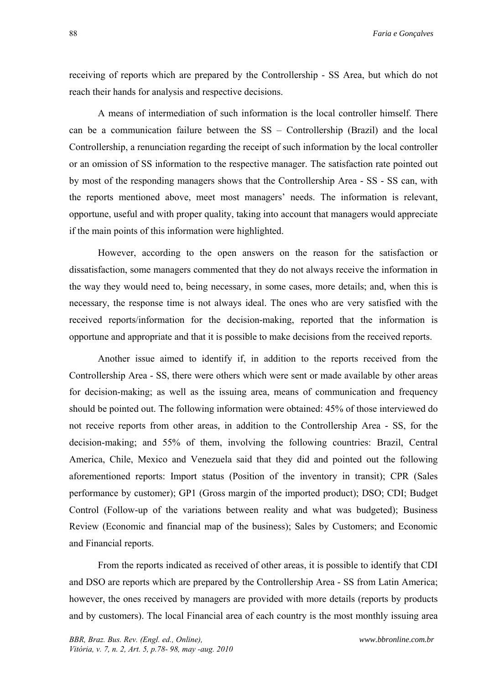receiving of reports which are prepared by the Controllership - SS Area, but which do not reach their hands for analysis and respective decisions.

A means of intermediation of such information is the local controller himself. There can be a communication failure between the SS – Controllership (Brazil) and the local Controllership, a renunciation regarding the receipt of such information by the local controller or an omission of SS information to the respective manager. The satisfaction rate pointed out by most of the responding managers shows that the Controllership Area - SS - SS can, with the reports mentioned above, meet most managers' needs. The information is relevant, opportune, useful and with proper quality, taking into account that managers would appreciate if the main points of this information were highlighted.

However, according to the open answers on the reason for the satisfaction or dissatisfaction, some managers commented that they do not always receive the information in the way they would need to, being necessary, in some cases, more details; and, when this is necessary, the response time is not always ideal. The ones who are very satisfied with the received reports/information for the decision-making, reported that the information is opportune and appropriate and that it is possible to make decisions from the received reports.

Another issue aimed to identify if, in addition to the reports received from the Controllership Area - SS, there were others which were sent or made available by other areas for decision-making; as well as the issuing area, means of communication and frequency should be pointed out. The following information were obtained: 45% of those interviewed do not receive reports from other areas, in addition to the Controllership Area - SS, for the decision-making; and 55% of them, involving the following countries: Brazil, Central America, Chile, Mexico and Venezuela said that they did and pointed out the following aforementioned reports: Import status (Position of the inventory in transit); CPR (Sales performance by customer); GP1 (Gross margin of the imported product); DSO; CDI; Budget Control (Follow-up of the variations between reality and what was budgeted); Business Review (Economic and financial map of the business); Sales by Customers; and Economic and Financial reports.

From the reports indicated as received of other areas, it is possible to identify that CDI and DSO are reports which are prepared by the Controllership Area - SS from Latin America; however, the ones received by managers are provided with more details (reports by products and by customers). The local Financial area of each country is the most monthly issuing area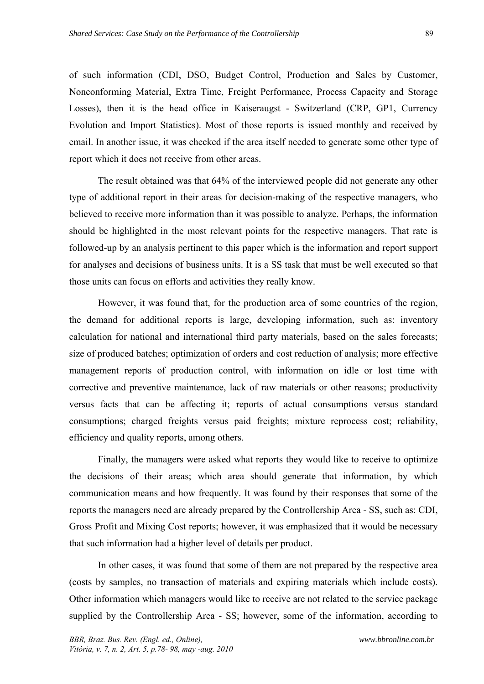of such information (CDI, DSO, Budget Control, Production and Sales by Customer, Nonconforming Material, Extra Time, Freight Performance, Process Capacity and Storage Losses), then it is the head office in Kaiseraugst - Switzerland (CRP, GP1, Currency Evolution and Import Statistics). Most of those reports is issued monthly and received by email. In another issue, it was checked if the area itself needed to generate some other type of report which it does not receive from other areas.

The result obtained was that 64% of the interviewed people did not generate any other type of additional report in their areas for decision-making of the respective managers, who believed to receive more information than it was possible to analyze. Perhaps, the information should be highlighted in the most relevant points for the respective managers. That rate is followed-up by an analysis pertinent to this paper which is the information and report support for analyses and decisions of business units. It is a SS task that must be well executed so that those units can focus on efforts and activities they really know.

However, it was found that, for the production area of some countries of the region, the demand for additional reports is large, developing information, such as: inventory calculation for national and international third party materials, based on the sales forecasts; size of produced batches; optimization of orders and cost reduction of analysis; more effective management reports of production control, with information on idle or lost time with corrective and preventive maintenance, lack of raw materials or other reasons; productivity versus facts that can be affecting it; reports of actual consumptions versus standard consumptions; charged freights versus paid freights; mixture reprocess cost; reliability, efficiency and quality reports, among others.

Finally, the managers were asked what reports they would like to receive to optimize the decisions of their areas; which area should generate that information, by which communication means and how frequently. It was found by their responses that some of the reports the managers need are already prepared by the Controllership Area - SS, such as: CDI, Gross Profit and Mixing Cost reports; however, it was emphasized that it would be necessary that such information had a higher level of details per product.

In other cases, it was found that some of them are not prepared by the respective area (costs by samples, no transaction of materials and expiring materials which include costs). Other information which managers would like to receive are not related to the service package supplied by the Controllership Area - SS; however, some of the information, according to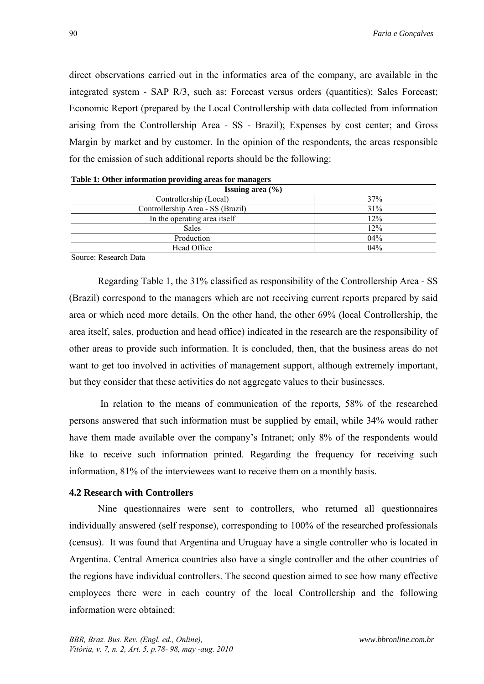direct observations carried out in the informatics area of the company, are available in the integrated system - SAP R/3, such as: Forecast versus orders (quantities); Sales Forecast; Economic Report (prepared by the Local Controllership with data collected from information arising from the Controllership Area - SS - Brazil); Expenses by cost center; and Gross Margin by market and by customer. In the opinion of the respondents, the areas responsible for the emission of such additional reports should be the following:

| <b>Issuing area</b> $(\% )$       |     |  |
|-----------------------------------|-----|--|
| Controllership (Local)            | 37% |  |
| Controllership Area - SS (Brazil) | 31% |  |
| In the operating area itself      | 12% |  |
| <b>Sales</b>                      | 12% |  |
| Production                        | 04% |  |
| Head Office                       | 04% |  |

Source: Research Data

Regarding Table 1, the 31% classified as responsibility of the Controllership Area - SS (Brazil) correspond to the managers which are not receiving current reports prepared by said area or which need more details. On the other hand, the other 69% (local Controllership, the area itself, sales, production and head office) indicated in the research are the responsibility of other areas to provide such information. It is concluded, then, that the business areas do not want to get too involved in activities of management support, although extremely important, but they consider that these activities do not aggregate values to their businesses.

 In relation to the means of communication of the reports, 58% of the researched persons answered that such information must be supplied by email, while 34% would rather have them made available over the company's Intranet; only 8% of the respondents would like to receive such information printed. Regarding the frequency for receiving such information, 81% of the interviewees want to receive them on a monthly basis.

#### **4.2 Research with Controllers**

Nine questionnaires were sent to controllers, who returned all questionnaires individually answered (self response), corresponding to 100% of the researched professionals (census). It was found that Argentina and Uruguay have a single controller who is located in Argentina. Central America countries also have a single controller and the other countries of the regions have individual controllers. The second question aimed to see how many effective employees there were in each country of the local Controllership and the following information were obtained: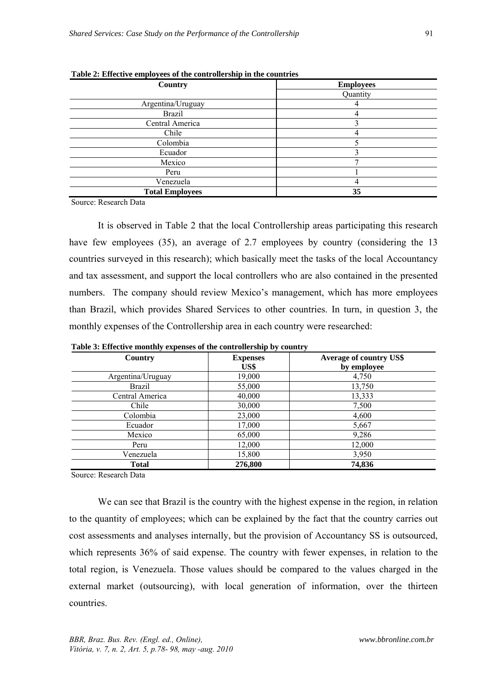| Country                | <b>Employees</b> |
|------------------------|------------------|
|                        | Quantity         |
| Argentina/Uruguay      |                  |
| <b>Brazil</b>          | 4                |
| Central America        |                  |
| Chile                  |                  |
| Colombia               |                  |
| Ecuador                |                  |
| Mexico                 |                  |
| Peru                   |                  |
| Venezuela              |                  |
| <b>Total Employees</b> | 35               |

 **Table 2: Effective employees of the controllership in the countries**

Source: Research Data

It is observed in Table 2 that the local Controllership areas participating this research have few employees (35), an average of 2.7 employees by country (considering the 13 countries surveyed in this research); which basically meet the tasks of the local Accountancy and tax assessment, and support the local controllers who are also contained in the presented numbers. The company should review Mexico's management, which has more employees than Brazil, which provides Shared Services to other countries. In turn, in question 3, the monthly expenses of the Controllership area in each country were researched:

| Country           | <b>Expenses</b><br>US\$ | <b>Average of country US\$</b><br>by employee |
|-------------------|-------------------------|-----------------------------------------------|
| Argentina/Uruguay | 19,000                  | 4,750                                         |
| <b>Brazil</b>     | 55,000                  | 13,750                                        |
| Central America   | 40,000                  | 13,333                                        |
| Chile             | 30,000                  | 7,500                                         |
| Colombia          | 23,000                  | 4,600                                         |
| Ecuador           | 17,000                  | 5,667                                         |
| Mexico            | 65,000                  | 9,286                                         |
| Peru              | 12,000                  | 12,000                                        |
| Venezuela         | 15,800                  | 3,950                                         |
| <b>Total</b>      | 276,800                 | 74,836                                        |

 **Table 3: Effective monthly expenses of the controllership by country** 

Source: Research Data

We can see that Brazil is the country with the highest expense in the region, in relation to the quantity of employees; which can be explained by the fact that the country carries out cost assessments and analyses internally, but the provision of Accountancy SS is outsourced, which represents 36% of said expense. The country with fewer expenses, in relation to the total region, is Venezuela. Those values should be compared to the values charged in the external market (outsourcing), with local generation of information, over the thirteen countries.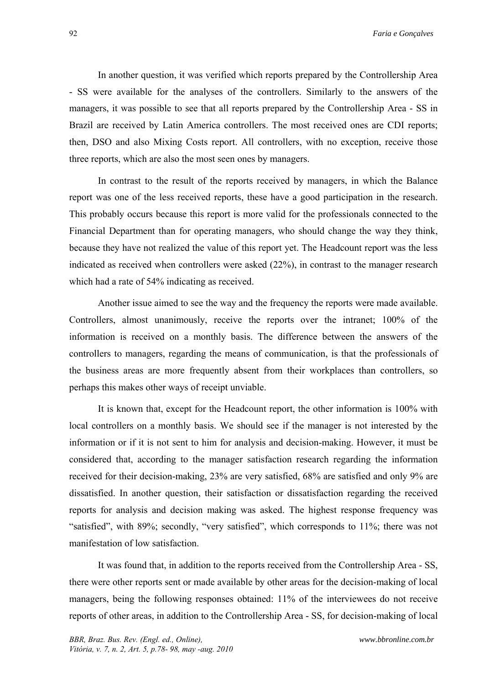In another question, it was verified which reports prepared by the Controllership Area - SS were available for the analyses of the controllers. Similarly to the answers of the managers, it was possible to see that all reports prepared by the Controllership Area - SS in Brazil are received by Latin America controllers. The most received ones are CDI reports; then, DSO and also Mixing Costs report. All controllers, with no exception, receive those three reports, which are also the most seen ones by managers.

In contrast to the result of the reports received by managers, in which the Balance report was one of the less received reports, these have a good participation in the research. This probably occurs because this report is more valid for the professionals connected to the Financial Department than for operating managers, who should change the way they think, because they have not realized the value of this report yet. The Headcount report was the less indicated as received when controllers were asked (22%), in contrast to the manager research which had a rate of 54% indicating as received.

Another issue aimed to see the way and the frequency the reports were made available. Controllers, almost unanimously, receive the reports over the intranet; 100% of the information is received on a monthly basis. The difference between the answers of the controllers to managers, regarding the means of communication, is that the professionals of the business areas are more frequently absent from their workplaces than controllers, so perhaps this makes other ways of receipt unviable.

It is known that, except for the Headcount report, the other information is 100% with local controllers on a monthly basis. We should see if the manager is not interested by the information or if it is not sent to him for analysis and decision-making. However, it must be considered that, according to the manager satisfaction research regarding the information received for their decision-making, 23% are very satisfied, 68% are satisfied and only 9% are dissatisfied. In another question, their satisfaction or dissatisfaction regarding the received reports for analysis and decision making was asked. The highest response frequency was "satisfied", with 89%; secondly, "very satisfied", which corresponds to 11%; there was not manifestation of low satisfaction.

It was found that, in addition to the reports received from the Controllership Area - SS, there were other reports sent or made available by other areas for the decision-making of local managers, being the following responses obtained: 11% of the interviewees do not receive reports of other areas, in addition to the Controllership Area - SS, for decision-making of local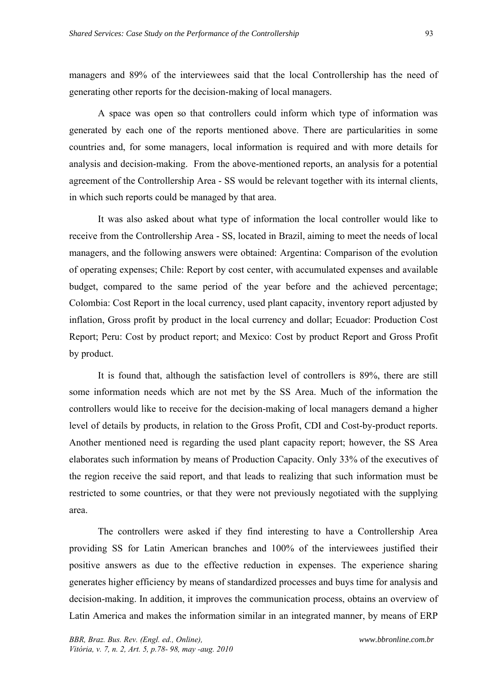managers and 89% of the interviewees said that the local Controllership has the need of generating other reports for the decision-making of local managers.

A space was open so that controllers could inform which type of information was generated by each one of the reports mentioned above. There are particularities in some countries and, for some managers, local information is required and with more details for analysis and decision-making. From the above-mentioned reports, an analysis for a potential agreement of the Controllership Area - SS would be relevant together with its internal clients, in which such reports could be managed by that area.

It was also asked about what type of information the local controller would like to receive from the Controllership Area - SS, located in Brazil, aiming to meet the needs of local managers, and the following answers were obtained: Argentina: Comparison of the evolution of operating expenses; Chile: Report by cost center, with accumulated expenses and available budget, compared to the same period of the year before and the achieved percentage; Colombia: Cost Report in the local currency, used plant capacity, inventory report adjusted by inflation, Gross profit by product in the local currency and dollar; Ecuador: Production Cost Report; Peru: Cost by product report; and Mexico: Cost by product Report and Gross Profit by product.

It is found that, although the satisfaction level of controllers is 89%, there are still some information needs which are not met by the SS Area. Much of the information the controllers would like to receive for the decision-making of local managers demand a higher level of details by products, in relation to the Gross Profit, CDI and Cost-by-product reports. Another mentioned need is regarding the used plant capacity report; however, the SS Area elaborates such information by means of Production Capacity. Only 33% of the executives of the region receive the said report, and that leads to realizing that such information must be restricted to some countries, or that they were not previously negotiated with the supplying area.

The controllers were asked if they find interesting to have a Controllership Area providing SS for Latin American branches and 100% of the interviewees justified their positive answers as due to the effective reduction in expenses. The experience sharing generates higher efficiency by means of standardized processes and buys time for analysis and decision-making. In addition, it improves the communication process, obtains an overview of Latin America and makes the information similar in an integrated manner, by means of ERP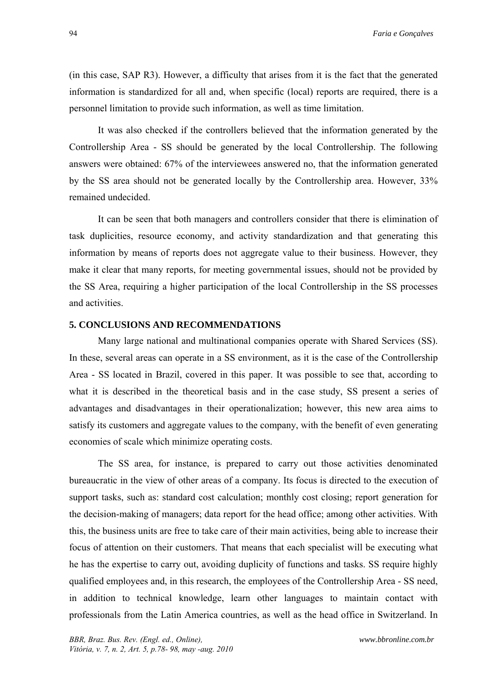(in this case, SAP R3). However, a difficulty that arises from it is the fact that the generated information is standardized for all and, when specific (local) reports are required, there is a personnel limitation to provide such information, as well as time limitation.

It was also checked if the controllers believed that the information generated by the Controllership Area - SS should be generated by the local Controllership. The following answers were obtained: 67% of the interviewees answered no, that the information generated by the SS area should not be generated locally by the Controllership area. However, 33% remained undecided.

It can be seen that both managers and controllers consider that there is elimination of task duplicities, resource economy, and activity standardization and that generating this information by means of reports does not aggregate value to their business. However, they make it clear that many reports, for meeting governmental issues, should not be provided by the SS Area, requiring a higher participation of the local Controllership in the SS processes and activities.

## **5. CONCLUSIONS AND RECOMMENDATIONS**

Many large national and multinational companies operate with Shared Services (SS). In these, several areas can operate in a SS environment, as it is the case of the Controllership Area - SS located in Brazil, covered in this paper. It was possible to see that, according to what it is described in the theoretical basis and in the case study, SS present a series of advantages and disadvantages in their operationalization; however, this new area aims to satisfy its customers and aggregate values to the company, with the benefit of even generating economies of scale which minimize operating costs.

The SS area, for instance, is prepared to carry out those activities denominated bureaucratic in the view of other areas of a company. Its focus is directed to the execution of support tasks, such as: standard cost calculation; monthly cost closing; report generation for the decision-making of managers; data report for the head office; among other activities. With this, the business units are free to take care of their main activities, being able to increase their focus of attention on their customers. That means that each specialist will be executing what he has the expertise to carry out, avoiding duplicity of functions and tasks. SS require highly qualified employees and, in this research, the employees of the Controllership Area - SS need, in addition to technical knowledge, learn other languages to maintain contact with professionals from the Latin America countries, as well as the head office in Switzerland. In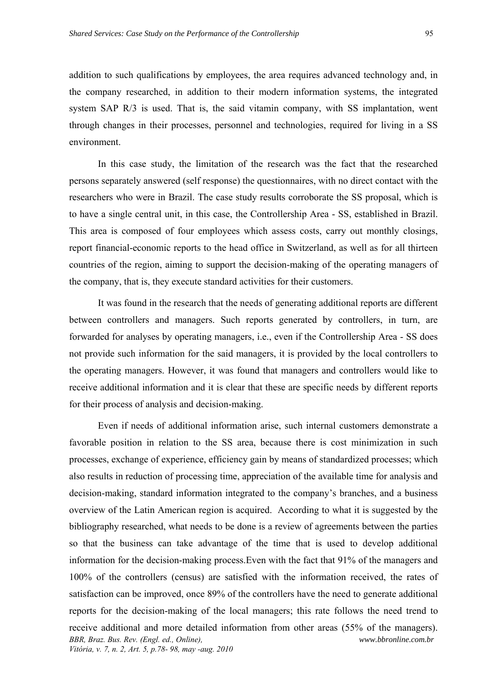addition to such qualifications by employees, the area requires advanced technology and, in the company researched, in addition to their modern information systems, the integrated system SAP R/3 is used. That is, the said vitamin company, with SS implantation, went through changes in their processes, personnel and technologies, required for living in a SS environment.

In this case study, the limitation of the research was the fact that the researched persons separately answered (self response) the questionnaires, with no direct contact with the researchers who were in Brazil. The case study results corroborate the SS proposal, which is to have a single central unit, in this case, the Controllership Area - SS, established in Brazil. This area is composed of four employees which assess costs, carry out monthly closings, report financial-economic reports to the head office in Switzerland, as well as for all thirteen countries of the region, aiming to support the decision-making of the operating managers of the company, that is, they execute standard activities for their customers.

It was found in the research that the needs of generating additional reports are different between controllers and managers. Such reports generated by controllers, in turn, are forwarded for analyses by operating managers, i.e., even if the Controllership Area - SS does not provide such information for the said managers, it is provided by the local controllers to the operating managers. However, it was found that managers and controllers would like to receive additional information and it is clear that these are specific needs by different reports for their process of analysis and decision-making.

*BBR, Braz. Bus. Rev. (Engl. ed., Online), Vitória, v. 7, n. 2, Art. 5, p.78- 98, may -aug. 2010 www.bbronline.com.br*  Even if needs of additional information arise, such internal customers demonstrate a favorable position in relation to the SS area, because there is cost minimization in such processes, exchange of experience, efficiency gain by means of standardized processes; which also results in reduction of processing time, appreciation of the available time for analysis and decision-making, standard information integrated to the company's branches, and a business overview of the Latin American region is acquired. According to what it is suggested by the bibliography researched, what needs to be done is a review of agreements between the parties so that the business can take advantage of the time that is used to develop additional information for the decision-making process.Even with the fact that 91% of the managers and 100% of the controllers (census) are satisfied with the information received, the rates of satisfaction can be improved, once 89% of the controllers have the need to generate additional reports for the decision-making of the local managers; this rate follows the need trend to receive additional and more detailed information from other areas (55% of the managers).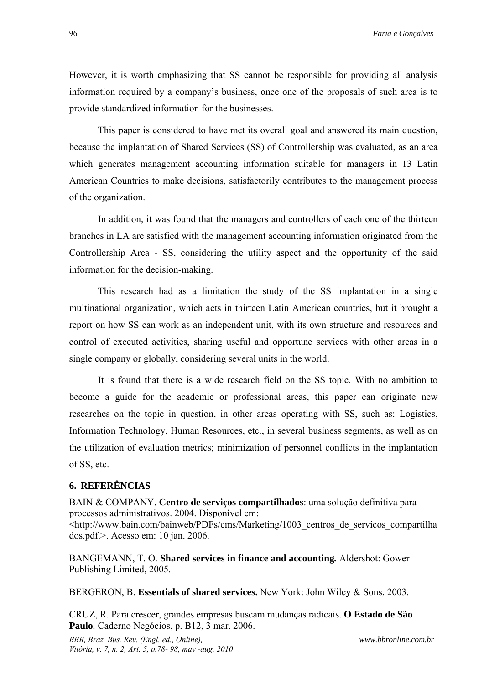However, it is worth emphasizing that SS cannot be responsible for providing all analysis information required by a company's business, once one of the proposals of such area is to provide standardized information for the businesses.

This paper is considered to have met its overall goal and answered its main question, because the implantation of Shared Services (SS) of Controllership was evaluated, as an area which generates management accounting information suitable for managers in 13 Latin American Countries to make decisions, satisfactorily contributes to the management process of the organization.

In addition, it was found that the managers and controllers of each one of the thirteen branches in LA are satisfied with the management accounting information originated from the Controllership Area - SS, considering the utility aspect and the opportunity of the said information for the decision-making.

This research had as a limitation the study of the SS implantation in a single multinational organization, which acts in thirteen Latin American countries, but it brought a report on how SS can work as an independent unit, with its own structure and resources and control of executed activities, sharing useful and opportune services with other areas in a single company or globally, considering several units in the world.

It is found that there is a wide research field on the SS topic. With no ambition to become a guide for the academic or professional areas, this paper can originate new researches on the topic in question, in other areas operating with SS, such as: Logistics, Information Technology, Human Resources, etc., in several business segments, as well as on the utilization of evaluation metrics; minimization of personnel conflicts in the implantation of SS, etc.

## **6. REFERÊNCIAS**

BAIN & COMPANY. **Centro de serviços compartilhados**: uma solução definitiva para processos administrativos. 2004. Disponível em: <http://www.bain.com/bainweb/PDFs/cms/Marketing/1003\_centros\_de\_servicos\_compartilha dos.pdf.>. Acesso em: 10 jan. 2006.

BANGEMANN, T. O. **Shared services in finance and accounting***.* Aldershot: Gower Publishing Limited, 2005.

BERGERON, B. **Essentials of shared services.** New York: John Wiley & Sons, 2003.

CRUZ, R. Para crescer, grandes empresas buscam mudanças radicais. **O Estado de São Paulo***.* Caderno Negócios, p. B12, 3 mar. 2006.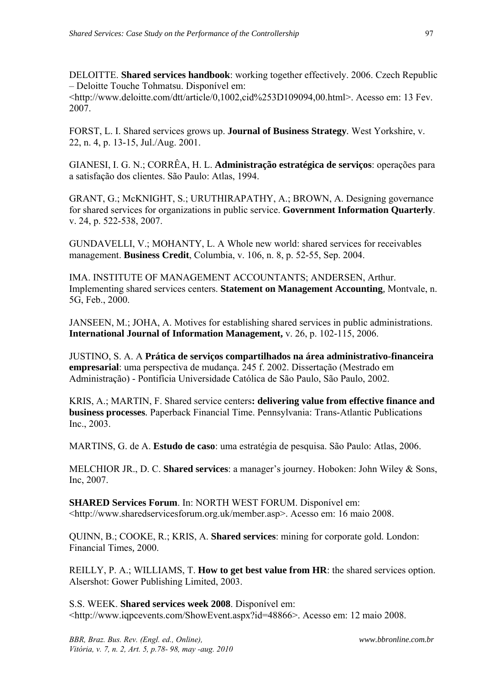DELOITTE. **Shared services handbook**: working together effectively. 2006. Czech Republic – Deloitte Touche Tohmatsu. Disponível em:

<http://www.deloitte.com/dtt/article/0,1002,cid%253D109094,00.html>. Acesso em: 13 Fev. 2007.

FORST, L. I. Shared services grows up. **Journal of Business Strategy***.* West Yorkshire, v. 22, n. 4, p. 13-15, Jul./Aug. 2001.

GIANESI, I. G. N.; CORRÊA, H. L. **Administração estratégica de serviços**: operações para a satisfação dos clientes. São Paulo: Atlas, 1994.

GRANT, G.; McKNIGHT, S.; URUTHIRAPATHY, A.; BROWN, A. Designing governance for shared services for organizations in public service. **Government Information Quarterly**. v. 24, p. 522-538, 2007.

GUNDAVELLI, V.; MOHANTY, L. A Whole new world: shared services for receivables management. **Business Credit**, Columbia, v. 106, n. 8, p. 52-55, Sep. 2004.

IMA. INSTITUTE OF MANAGEMENT ACCOUNTANTS; ANDERSEN, Arthur. Implementing shared services centers. **Statement on Management Accounting***,* Montvale, n. 5G, Feb., 2000.

JANSEEN, M.; JOHA, A. Motives for establishing shared services in public administrations. **International Journal of Information Management,** v. 26, p. 102-115, 2006.

JUSTINO, S. A. A **Prática de serviços compartilhados na área administrativo-financeira empresarial**: uma perspectiva de mudança. 245 f. 2002. Dissertação (Mestrado em Administração) - Pontifícia Universidade Católica de São Paulo, São Paulo, 2002.

KRIS, A.; MARTIN, F. Shared service centers**: delivering value from effective finance and business processes***.* Paperback Financial Time. Pennsylvania: Trans-Atlantic Publications Inc., 2003.

MARTINS, G. de A. **Estudo de caso**: uma estratégia de pesquisa. São Paulo: Atlas, 2006.

MELCHIOR JR., D. C. **Shared services**: a manager's journey. Hoboken: John Wiley & Sons, Inc, 2007.

**SHARED Services Forum**. In: NORTH WEST FORUM. Disponível em: <http://www.sharedservicesforum.org.uk/member.asp>. Acesso em: 16 maio 2008.

QUINN, B.; COOKE, R.; KRIS, A. **Shared services**: mining for corporate gold. London: Financial Times*,* 2000.

REILLY, P. A.; WILLIAMS, T. **How to get best value from HR**: the shared services option. Alsershot: Gower Publishing Limited, 2003.

S.S. WEEK. **Shared services week 2008**. Disponível em: <http://www.iqpcevents.com/ShowEvent.aspx?id=48866>. Acesso em: 12 maio 2008.